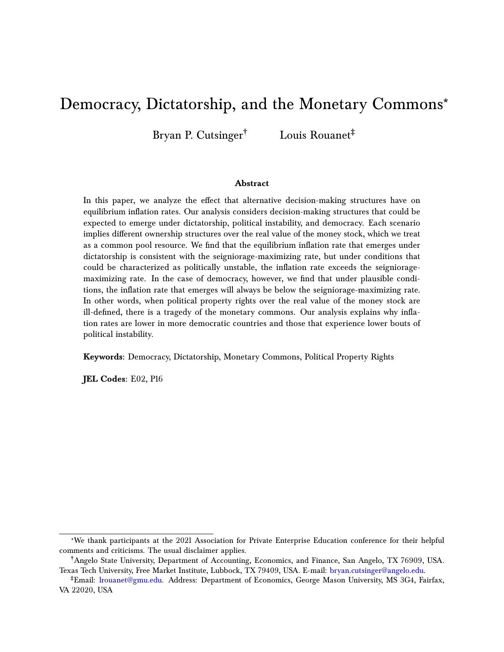# Democracy, Dictatorship, and the Monetary Commons\*

Bryan P. Cutsinger† Louis Rouanet‡

#### **Abstract**

In this paper, we analyze the effect that alternative decision-making structures have on equilibrium inflation rates. Our analysis considers decision-making structures that could be expected to emerge under dictatorship, political instability, and democracy. Each scenario implies different ownership structures over the real value of the money stock, which we treat as a common pool resource. We find that the equilibrium inflation rate that emerges under dictatorship is consistent with the seigniorage-maximizing rate, but under conditions that could be characterized as politically unstable, the inflation rate exceeds the seignioragemaximizing rate. In the case of democracy, however, we find that under plausible conditions, the inflation rate that emerges will always be below the seigniorage-maximizing rate. In other words, when political property rights over the real value of the money stock are ill-defined, there is a tragedy of the monetary commons. Our analysis explains why inflation rates are lower in more democratic countries and those that experience lower bouts of political instability.

**Keywords:** Democracy, Dictatorship, Monetary Commons, Political Property Rights

**JEL Codes:** E02, P16

<sup>\*</sup>We thank participants at the 2021 Association for Private Enterprise Education conference for their helpful comments and criticisms. The usual disclaimer applies.

<sup>†</sup>Angelo State University, Department of Accounting, Economics, and Finance, San Angelo, TX 76909, USA. Texas Tech University, Free Market Institute, Lubbock, TX 79409, USA. E-mail: [bryan.cutsinger@angelo.edu.](mailto:bryan.cutsinger@angelo.edu)

<sup>‡</sup>Email: [lrouanet@gmu.edu.](mailto:lrouanet@gmu.edu) Address: Department of Economics, George Mason University, MS 3G4, Fairfax, VA 22020, USA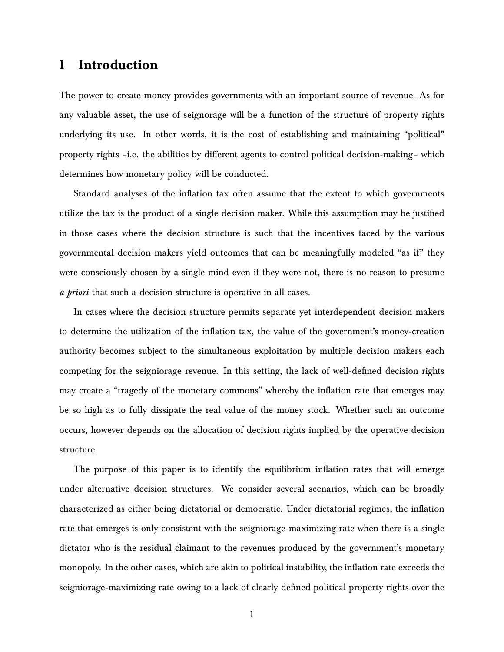## **1 Introduction**

The power to create money provides governments with an important source of revenue. As for any valuable asset, the use of seignorage will be a function of the structure of property rights underlying its use. In other words, it is the cost of establishing and maintaining "political" property rights –i.e. the abilities by different agents to control political decision-making– which determines how monetary policy will be conducted.

Standard analyses of the inflation tax often assume that the extent to which governments utilize the tax is the product of a single decision maker. While this assumption may be justified in those cases where the decision structure is such that the incentives faced by the various governmental decision makers yield outcomes that can be meaningfully modeled "as if" they were consciously chosen by a single mind even if they were not, there is no reason to presume *a priori* that such a decision structure is operative in all cases.

In cases where the decision structure permits separate yet interdependent decision makers to determine the utilization of the inflation tax, the value of the government's money-creation authority becomes subject to the simultaneous exploitation by multiple decision makers each competing for the seigniorage revenue. In this setting, the lack of well-defined decision rights may create a "tragedy of the monetary commons" whereby the inflation rate that emerges may be so high as to fully dissipate the real value of the money stock. Whether such an outcome occurs, however depends on the allocation of decision rights implied by the operative decision structure.

The purpose of this paper is to identify the equilibrium inflation rates that will emerge under alternative decision structures. We consider several scenarios, which can be broadly characterized as either being dictatorial or democratic. Under dictatorial regimes, the inflation rate that emerges is only consistent with the seigniorage-maximizing rate when there is a single dictator who is the residual claimant to the revenues produced by the government's monetary monopoly. In the other cases, which are akin to political instability, the inflation rate exceeds the seigniorage-maximizing rate owing to a lack of clearly defined political property rights over the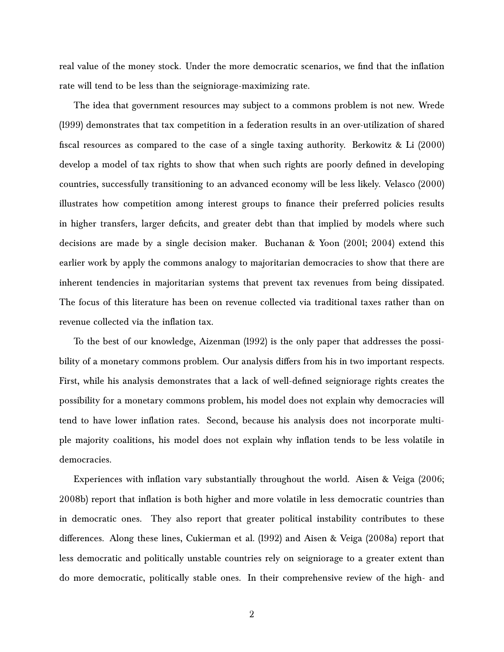real value of the money stock. Under the more democratic scenarios, we find that the inflation rate will tend to be less than the seigniorage-maximizing rate.

The idea that government resources may subject to a commons problem is not new. [Wrede](#page-21-0) [\(1999\)](#page-21-0) demonstrates that tax competition in a federation results in an over-utilization of shared fiscal resources as compared to the case of a single taxing authority. [Berkowitz & Li](#page-21-1) [\(2000\)](#page-21-1) develop a model of tax rights to show that when such rights are poorly defined in developing countries, successfully transitioning to an advanced economy will be less likely. [Velasco](#page-21-2) [\(2000\)](#page-21-2) illustrates how competition among interest groups to finance their preferred policies results in higher transfers, larger deficits, and greater debt than that implied by models where such decisions are made by a single decision maker. Buchanan & Yoon [\(2001;](#page-21-3) [2004\)](#page-21-4) extend this earlier work by apply the commons analogy to majoritarian democracies to show that there are inherent tendencies in majoritarian systems that prevent tax revenues from being dissipated. The focus of this literature has been on revenue collected via traditional taxes rather than on revenue collected via the inflation tax.

To the best of our knowledge, [Aizenman](#page-21-5) [\(1992\)](#page-21-5) is the only paper that addresses the possibility of a monetary commons problem. Our analysis differs from his in two important respects. First, while his analysis demonstrates that a lack of well-defined seigniorage rights creates the possibility for a monetary commons problem, his model does not explain why democracies will tend to have lower inflation rates. Second, because his analysis does not incorporate multiple majority coalitions, his model does not explain why inflation tends to be less volatile in democracies.

Experiences with inflation vary substantially throughout the world. Aisen & Veiga [\(2006;](#page-21-6) [2008b\)](#page-21-7) report that inflation is both higher and more volatile in less democratic countries than in democratic ones. They also report that greater political instability contributes to these differences. Along these lines, [Cukierman et al.](#page-21-8) [\(1992\)](#page-21-8) and [Aisen & Veiga](#page-21-9) [\(2008a\)](#page-21-9) report that less democratic and politically unstable countries rely on seigniorage to a greater extent than do more democratic, politically stable ones. In their comprehensive review of the high- and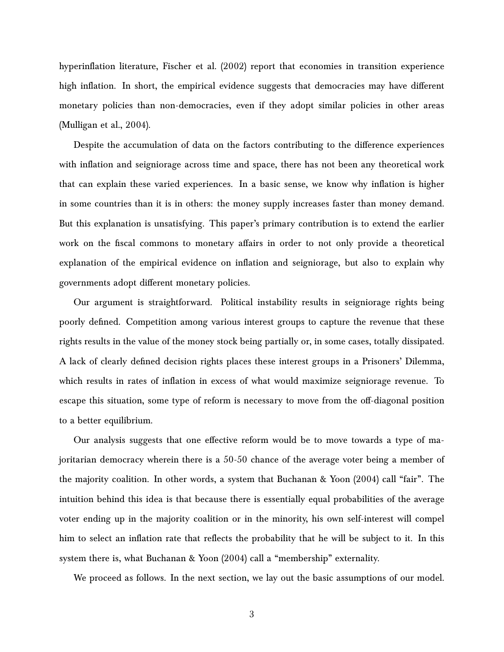hyperinflation literature, [Fischer et al.](#page-21-10) [\(2002\)](#page-21-10) report that economies in transition experience high inflation. In short, the empirical evidence suggests that democracies may have different monetary policies than non-democracies, even if they adopt similar policies in other areas [\(Mulligan et al.,](#page-21-11) [2004\)](#page-21-11).

Despite the accumulation of data on the factors contributing to the difference experiences with inflation and seigniorage across time and space, there has not been any theoretical work that can explain these varied experiences. In a basic sense, we know why inflation is higher in some countries than it is in others: the money supply increases faster than money demand. But this explanation is unsatisfying. This paper's primary contribution is to extend the earlier work on the fiscal commons to monetary affairs in order to not only provide a theoretical explanation of the empirical evidence on inflation and seigniorage, but also to explain why governments adopt different monetary policies.

Our argument is straightforward. Political instability results in seigniorage rights being poorly defined. Competition among various interest groups to capture the revenue that these rights results in the value of the money stock being partially or, in some cases, totally dissipated. A lack of clearly defined decision rights places these interest groups in a Prisoners' Dilemma, which results in rates of inflation in excess of what would maximize seigniorage revenue. To escape this situation, some type of reform is necessary to move from the off-diagonal position to a better equilibrium.

Our analysis suggests that one effective reform would be to move towards a type of majoritarian democracy wherein there is a 50-50 chance of the average voter being a member of the majority coalition. In other words, a system that [Buchanan & Yoon](#page-21-4) [\(2004\)](#page-21-4) call "fair". The intuition behind this idea is that because there is essentially equal probabilities of the average voter ending up in the majority coalition or in the minority, his own self-interest will compel him to select an inflation rate that reflects the probability that he will be subject to it. In this system there is, what [Buchanan & Yoon](#page-21-4) [\(2004\)](#page-21-4) call a "membership" externality.

We proceed as follows. In the next section, we lay out the basic assumptions of our model.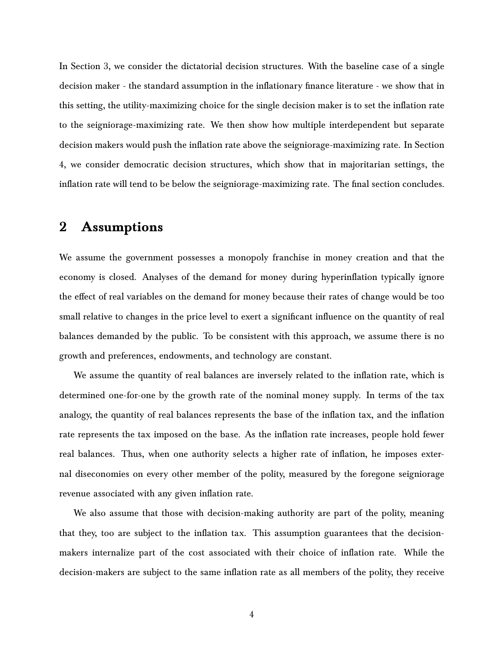In Section 3, we consider the dictatorial decision structures. With the baseline case of a single decision maker - the standard assumption in the inflationary finance literature - we show that in this setting, the utility-maximizing choice for the single decision maker is to set the inflation rate to the seigniorage-maximizing rate. We then show how multiple interdependent but separate decision makers would push the inflation rate above the seigniorage-maximizing rate. In Section 4, we consider democratic decision structures, which show that in majoritarian settings, the inflation rate will tend to be below the seigniorage-maximizing rate. The final section concludes.

### **2 Assumptions**

We assume the government possesses a monopoly franchise in money creation and that the economy is closed. Analyses of the demand for money during hyperinflation typically ignore the effect of real variables on the demand for money because their rates of change would be too small relative to changes in the price level to exert a significant influence on the quantity of real balances demanded by the public. To be consistent with this approach, we assume there is no growth and preferences, endowments, and technology are constant.

We assume the quantity of real balances are inversely related to the inflation rate, which is determined one-for-one by the growth rate of the nominal money supply. In terms of the tax analogy, the quantity of real balances represents the base of the inflation tax, and the inflation rate represents the tax imposed on the base. As the inflation rate increases, people hold fewer real balances. Thus, when one authority selects a higher rate of inflation, he imposes external diseconomies on every other member of the polity, measured by the foregone seigniorage revenue associated with any given inflation rate.

We also assume that those with decision-making authority are part of the polity, meaning that they, too are subject to the inflation tax. This assumption guarantees that the decisionmakers internalize part of the cost associated with their choice of inflation rate. While the decision-makers are subject to the same inflation rate as all members of the polity, they receive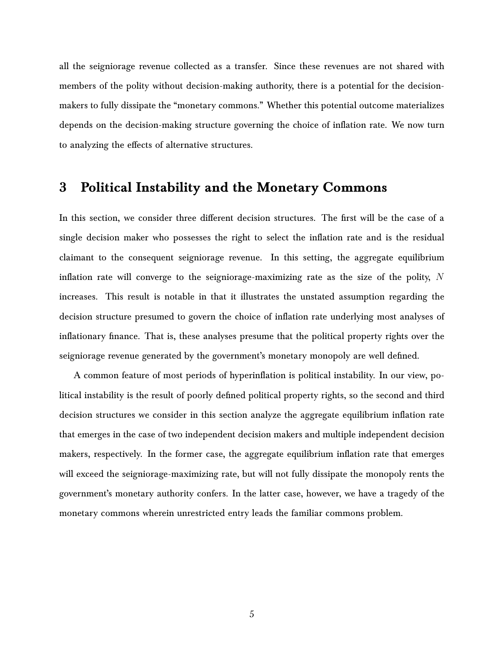all the seigniorage revenue collected as a transfer. Since these revenues are not shared with members of the polity without decision-making authority, there is a potential for the decisionmakers to fully dissipate the "monetary commons." Whether this potential outcome materializes depends on the decision-making structure governing the choice of inflation rate. We now turn to analyzing the effects of alternative structures.

### **3 Political Instability and the Monetary Commons**

In this section, we consider three different decision structures. The first will be the case of a single decision maker who possesses the right to select the inflation rate and is the residual claimant to the consequent seigniorage revenue. In this setting, the aggregate equilibrium inflation rate will converge to the seigniorage-maximizing rate as the size of the polity,  $N$ increases. This result is notable in that it illustrates the unstated assumption regarding the decision structure presumed to govern the choice of inflation rate underlying most analyses of inflationary finance. That is, these analyses presume that the political property rights over the seigniorage revenue generated by the government's monetary monopoly are well defined.

A common feature of most periods of hyperinflation is political instability. In our view, political instability is the result of poorly defined political property rights, so the second and third decision structures we consider in this section analyze the aggregate equilibrium inflation rate that emerges in the case of two independent decision makers and multiple independent decision makers, respectively. In the former case, the aggregate equilibrium inflation rate that emerges will exceed the seigniorage-maximizing rate, but will not fully dissipate the monopoly rents the government's monetary authority confers. In the latter case, however, we have a tragedy of the monetary commons wherein unrestricted entry leads the familiar commons problem.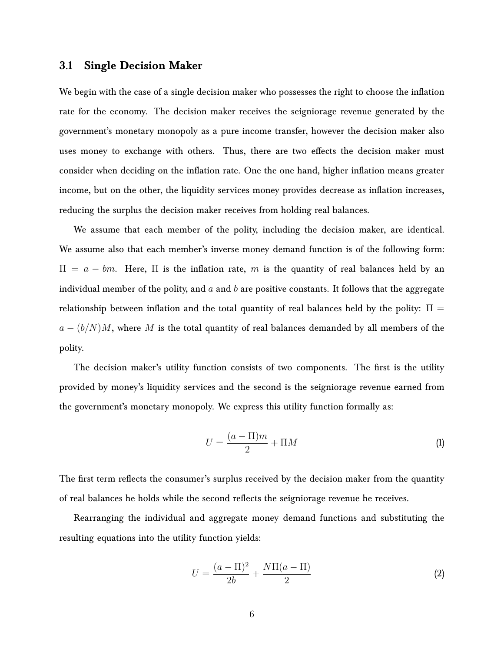#### **3.1 Single Decision Maker**

We begin with the case of a single decision maker who possesses the right to choose the inflation rate for the economy. The decision maker receives the seigniorage revenue generated by the government's monetary monopoly as a pure income transfer, however the decision maker also uses money to exchange with others. Thus, there are two effects the decision maker must consider when deciding on the inflation rate. One the one hand, higher inflation means greater income, but on the other, the liquidity services money provides decrease as inflation increases, reducing the surplus the decision maker receives from holding real balances.

We assume that each member of the polity, including the decision maker, are identical. We assume also that each member's inverse money demand function is of the following form:  $\Pi = a - bm$ . Here,  $\Pi$  is the inflation rate, m is the quantity of real balances held by an individual member of the polity, and  $a$  and  $b$  are positive constants. It follows that the aggregate relationship between inflation and the total quantity of real balances held by the polity:  $\Pi =$  $a - (b/N)M$ , where M is the total quantity of real balances demanded by all members of the polity.

The decision maker's utility function consists of two components. The first is the utility provided by money's liquidity services and the second is the seigniorage revenue earned from the government's monetary monopoly. We express this utility function formally as:

$$
U = \frac{(a - \Pi)m}{2} + \Pi M \tag{1}
$$

The first term reflects the consumer's surplus received by the decision maker from the quantity of real balances he holds while the second reflects the seigniorage revenue he receives.

Rearranging the individual and aggregate money demand functions and substituting the resulting equations into the utility function yields:

$$
U = \frac{(a - \Pi)^2}{2b} + \frac{N\Pi(a - \Pi)}{2}
$$
 (2)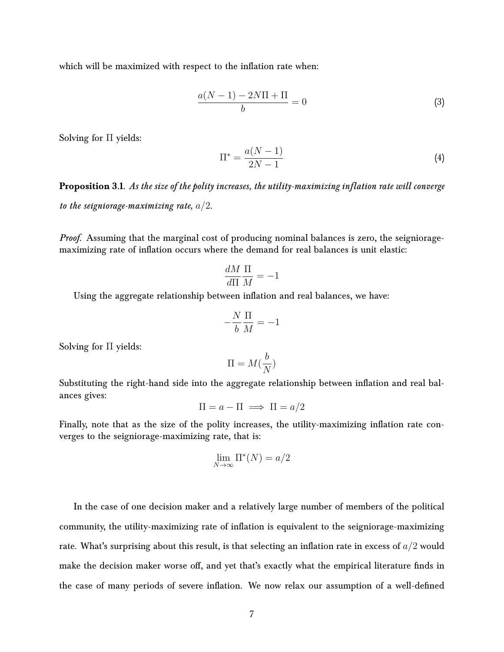which will be maximized with respect to the inflation rate when:

$$
\frac{a(N-1) - 2N\Pi + \Pi}{b} = 0
$$
\n(3)

Solving for Π yields:

$$
\Pi^* = \frac{a(N-1)}{2N-1}
$$
 (4)

**Proposition 3.1.** *As the size of the polity increases, the utility-maximizing inflation rate will converge to the seigniorage-maximizing rate,* a/2*.*

*Proof.* Assuming that the marginal cost of producing nominal balances is zero, the seignioragemaximizing rate of inflation occurs where the demand for real balances is unit elastic:

$$
\frac{dM}{d\Pi}\frac{\Pi}{M} = -1
$$

Using the aggregate relationship between inflation and real balances, we have:

$$
-\frac{N}{b}\frac{\Pi}{M}=-1
$$

Solving for Π yields:

$$
\Pi = M(\frac{b}{N})
$$

Substituting the right-hand side into the aggregate relationship between inflation and real balances gives:

$$
\Pi = a - \Pi \implies \Pi = a/2
$$

Finally, note that as the size of the polity increases, the utility-maximizing inflation rate converges to the seigniorage-maximizing rate, that is:

$$
\lim_{N \to \infty} \Pi^*(N) = a/2
$$

In the case of one decision maker and a relatively large number of members of the political community, the utility-maximizing rate of inflation is equivalent to the seigniorage-maximizing rate. What's surprising about this result, is that selecting an inflation rate in excess of  $a/2$  would make the decision maker worse off, and yet that's exactly what the empirical literature finds in the case of many periods of severe inflation. We now relax our assumption of a well-defined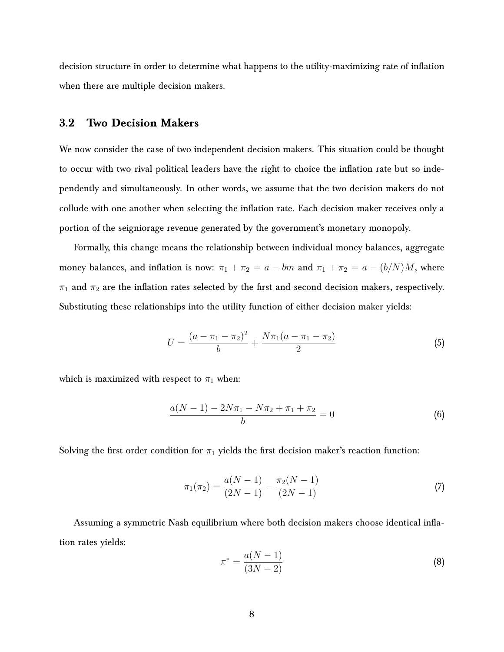decision structure in order to determine what happens to the utility-maximizing rate of inflation when there are multiple decision makers.

#### **3.2 Two Decision Makers**

We now consider the case of two independent decision makers. This situation could be thought to occur with two rival political leaders have the right to choice the inflation rate but so independently and simultaneously. In other words, we assume that the two decision makers do not collude with one another when selecting the inflation rate. Each decision maker receives only a portion of the seigniorage revenue generated by the government's monetary monopoly.

Formally, this change means the relationship between individual money balances, aggregate money balances, and inflation is now:  $\pi_1 + \pi_2 = a - bm$  and  $\pi_1 + \pi_2 = a - (b/N)M$ , where  $\pi_1$  and  $\pi_2$  are the inflation rates selected by the first and second decision makers, respectively. Substituting these relationships into the utility function of either decision maker yields:

$$
U = \frac{(a - \pi_1 - \pi_2)^2}{b} + \frac{N\pi_1(a - \pi_1 - \pi_2)}{2}
$$
 (5)

which is maximized with respect to  $\pi_1$  when:

$$
\frac{a(N-1) - 2N\pi_1 - N\pi_2 + \pi_1 + \pi_2}{b} = 0
$$
\n(6)

Solving the first order condition for  $\pi_1$  yields the first decision maker's reaction function:

$$
\pi_1(\pi_2) = \frac{a(N-1)}{(2N-1)} - \frac{\pi_2(N-1)}{(2N-1)}
$$
\n(7)

Assuming a symmetric Nash equilibrium where both decision makers choose identical inflation rates yields:

$$
\pi^* = \frac{a(N-1)}{(3N-2)}\tag{8}
$$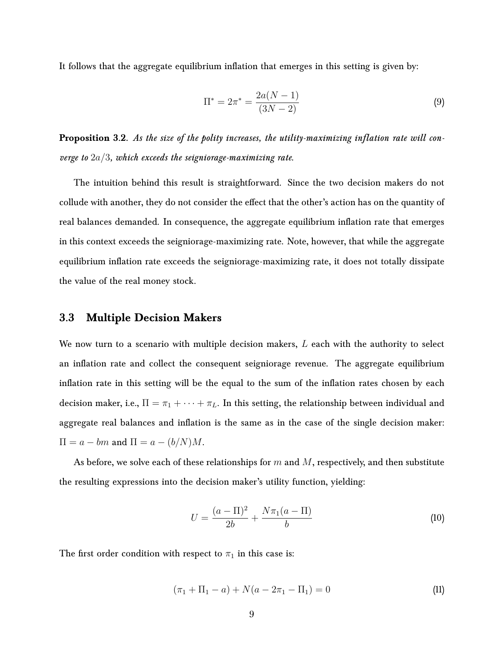It follows that the aggregate equilibrium inflation that emerges in this setting is given by:

$$
\Pi^* = 2\pi^* = \frac{2a(N-1)}{(3N-2)}
$$
\n(9)

**Proposition 3.2.** *As the size of the polity increases, the utility-maximizing inflation rate will converge to* 2a/3*, which exceeds the seigniorage-maximizing rate.*

The intuition behind this result is straightforward. Since the two decision makers do not collude with another, they do not consider the effect that the other's action has on the quantity of real balances demanded. In consequence, the aggregate equilibrium inflation rate that emerges in this context exceeds the seigniorage-maximizing rate. Note, however, that while the aggregate equilibrium inflation rate exceeds the seigniorage-maximizing rate, it does not totally dissipate the value of the real money stock.

### **3.3 Multiple Decision Makers**

We now turn to a scenario with multiple decision makers,  $L$  each with the authority to select an inflation rate and collect the consequent seigniorage revenue. The aggregate equilibrium inflation rate in this setting will be the equal to the sum of the inflation rates chosen by each decision maker, i.e.,  $\Pi = \pi_1 + \cdots + \pi_L$ . In this setting, the relationship between individual and aggregate real balances and inflation is the same as in the case of the single decision maker:  $\Pi = a - bm$  and  $\Pi = a - (b/N)M$ .

As before, we solve each of these relationships for  $m$  and  $M$ , respectively, and then substitute the resulting expressions into the decision maker's utility function, yielding:

$$
U = \frac{(a - \Pi)^2}{2b} + \frac{N\pi_1(a - \Pi)}{b}
$$
 (10)

The first order condition with respect to  $\pi_1$  in this case is:

$$
(\pi_1 + \Pi_1 - a) + N(a - 2\pi_1 - \Pi_1) = 0 \tag{11}
$$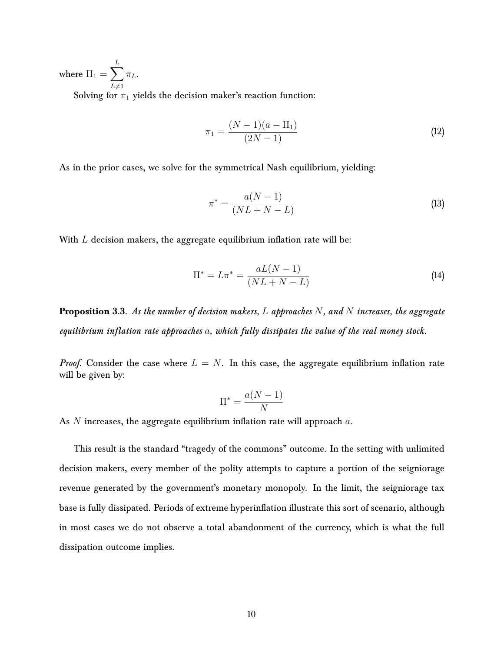where  $\Pi_1 = \sum$ L  $L\neq 1$  $\pi_L$ . Solving for  $\pi_1$  yields the decision maker's reaction function:

$$
\pi_1 = \frac{(N-1)(a-\Pi_1)}{(2N-1)}
$$
\n(12)

As in the prior cases, we solve for the symmetrical Nash equilibrium, yielding:

$$
\pi^* = \frac{a(N-1)}{(NL+N-L)}
$$
\n(13)

With  $L$  decision makers, the aggregate equilibrium inflation rate will be:

$$
\Pi^* = L\pi^* = \frac{aL(N-1)}{(NL+N-L)}
$$
\n(14)

**Proposition 3.3.** *As the number of decision makers,* L *approaches* N*, and* N *increases, the aggregate equilibrium inflation rate approaches* a*, which fully dissipates the value of the real money stock.*

*Proof.* Consider the case where  $L = N$ . In this case, the aggregate equilibrium inflation rate will be given by:

$$
\Pi^* = \frac{a(N-1)}{N}
$$

As  $N$  increases, the aggregate equilibrium inflation rate will approach  $a$ .

This result is the standard "tragedy of the commons" outcome. In the setting with unlimited decision makers, every member of the polity attempts to capture a portion of the seigniorage revenue generated by the government's monetary monopoly. In the limit, the seigniorage tax base is fully dissipated. Periods of extreme hyperinflation illustrate this sort of scenario, although in most cases we do not observe a total abandonment of the currency, which is what the full dissipation outcome implies.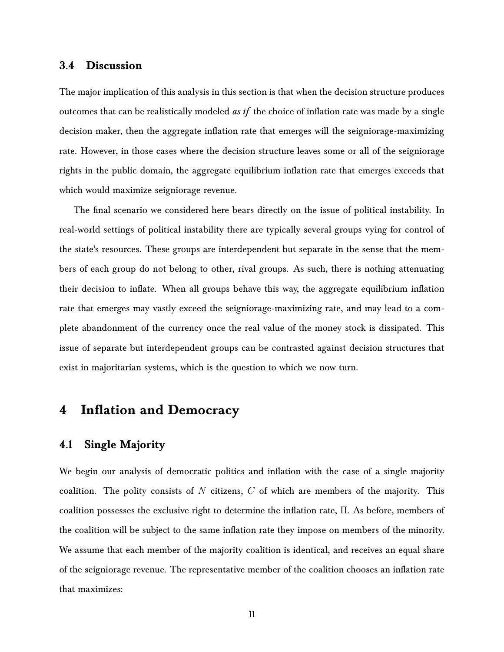#### **3.4 Discussion**

The major implication of this analysis in this section is that when the decision structure produces outcomes that can be realistically modeled *as if* the choice of inflation rate was made by a single decision maker, then the aggregate inflation rate that emerges will the seigniorage-maximizing rate. However, in those cases where the decision structure leaves some or all of the seigniorage rights in the public domain, the aggregate equilibrium inflation rate that emerges exceeds that which would maximize seigniorage revenue.

The final scenario we considered here bears directly on the issue of political instability. In real-world settings of political instability there are typically several groups vying for control of the state's resources. These groups are interdependent but separate in the sense that the members of each group do not belong to other, rival groups. As such, there is nothing attenuating their decision to inflate. When all groups behave this way, the aggregate equilibrium inflation rate that emerges may vastly exceed the seigniorage-maximizing rate, and may lead to a complete abandonment of the currency once the real value of the money stock is dissipated. This issue of separate but interdependent groups can be contrasted against decision structures that exist in majoritarian systems, which is the question to which we now turn.

### **4 Inflation and Democracy**

### **4.1 Single Majority**

We begin our analysis of democratic politics and inflation with the case of a single majority coalition. The polity consists of N citizens,  $C$  of which are members of the majority. This coalition possesses the exclusive right to determine the inflation rate, Π. As before, members of the coalition will be subject to the same inflation rate they impose on members of the minority. We assume that each member of the majority coalition is identical, and receives an equal share of the seigniorage revenue. The representative member of the coalition chooses an inflation rate that maximizes: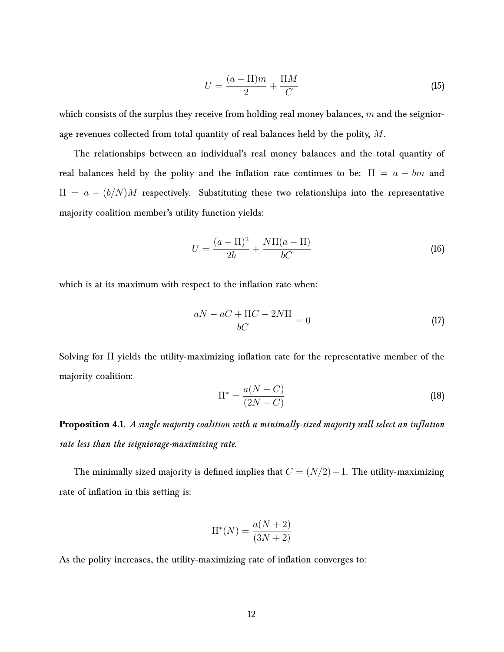$$
U = \frac{(a - \Pi)m}{2} + \frac{\Pi M}{C}
$$
 (15)

which consists of the surplus they receive from holding real money balances,  $m$  and the seigniorage revenues collected from total quantity of real balances held by the polity, M.

The relationships between an individual's real money balances and the total quantity of real balances held by the polity and the inflation rate continues to be:  $\Pi = a - bm$  and  $\Pi = a - (b/N)M$  respectively. Substituting these two relationships into the representative majority coalition member's utility function yields:

$$
U = \frac{(a - \Pi)^2}{2b} + \frac{N\Pi(a - \Pi)}{bC}
$$
 (16)

which is at its maximum with respect to the inflation rate when:

$$
\frac{aN - aC + \Pi C - 2N\Pi}{bC} = 0\tag{17}
$$

Solving for Π yields the utility-maximizing inflation rate for the representative member of the majority coalition:

$$
\Pi^* = \frac{a(N-C)}{(2N-C)}\tag{18}
$$

**Proposition 4.1.** *A single majority coalition with a minimally-sized majority will select an inflation rate less than the seigniorage-maximizing rate.*

The minimally sized majority is defined implies that  $C = (N/2) + 1$ . The utility-maximizing rate of inflation in this setting is:

$$
\Pi^*(N) = \frac{a(N+2)}{(3N+2)}
$$

As the polity increases, the utility-maximizing rate of inflation converges to: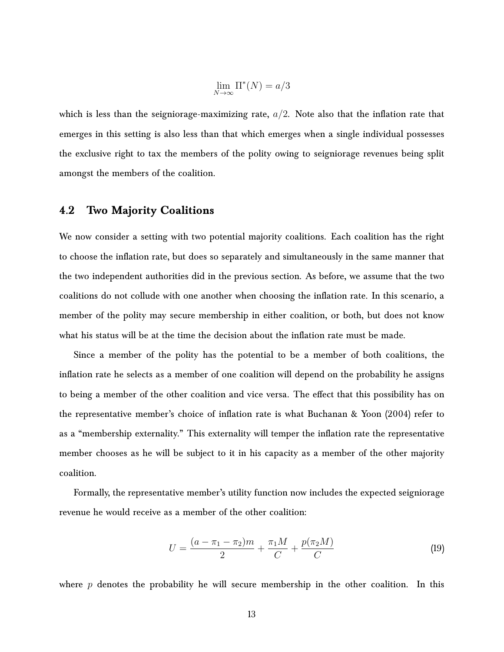$$
\lim_{N \to \infty} \Pi^*(N) = a/3
$$

which is less than the seigniorage-maximizing rate,  $a/2$ . Note also that the inflation rate that emerges in this setting is also less than that which emerges when a single individual possesses the exclusive right to tax the members of the polity owing to seigniorage revenues being split amongst the members of the coalition.

#### **4.2 Two Majority Coalitions**

We now consider a setting with two potential majority coalitions. Each coalition has the right to choose the inflation rate, but does so separately and simultaneously in the same manner that the two independent authorities did in the previous section. As before, we assume that the two coalitions do not collude with one another when choosing the inflation rate. In this scenario, a member of the polity may secure membership in either coalition, or both, but does not know what his status will be at the time the decision about the inflation rate must be made.

Since a member of the polity has the potential to be a member of both coalitions, the inflation rate he selects as a member of one coalition will depend on the probability he assigns to being a member of the other coalition and vice versa. The effect that this possibility has on the representative member's choice of inflation rate is what [Buchanan & Yoon](#page-21-4) [\(2004\)](#page-21-4) refer to as a "membership externality." This externality will temper the inflation rate the representative member chooses as he will be subject to it in his capacity as a member of the other majority coalition.

Formally, the representative member's utility function now includes the expected seigniorage revenue he would receive as a member of the other coalition:

$$
U = \frac{(a - \pi_1 - \pi_2)m}{2} + \frac{\pi_1 M}{C} + \frac{p(\pi_2 M)}{C}
$$
 (19)

where  $p$  denotes the probability he will secure membership in the other coalition. In this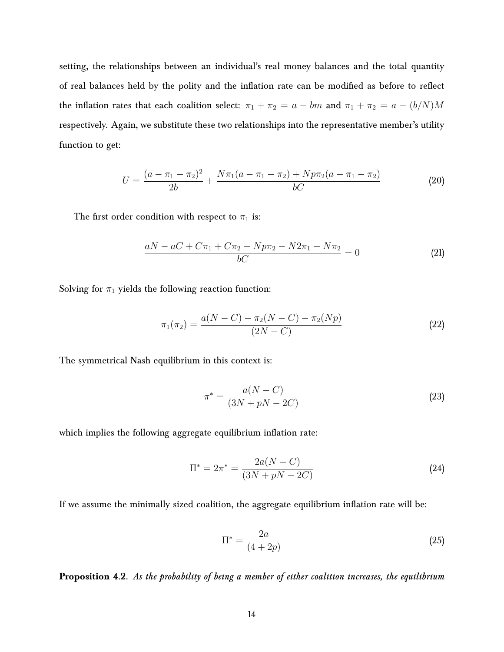setting, the relationships between an individual's real money balances and the total quantity of real balances held by the polity and the inflation rate can be modified as before to reflect the inflation rates that each coalition select:  $\pi_1 + \pi_2 = a - bm$  and  $\pi_1 + \pi_2 = a - (b/N)M$ respectively. Again, we substitute these two relationships into the representative member's utility function to get:

$$
U = \frac{(a - \pi_1 - \pi_2)^2}{2b} + \frac{N\pi_1(a - \pi_1 - \pi_2) + Np\pi_2(a - \pi_1 - \pi_2)}{bC}
$$
 (20)

The first order condition with respect to  $\pi_1$  is:

$$
\frac{aN - aC + C\pi_1 + C\pi_2 - Np\pi_2 - N2\pi_1 - N\pi_2}{bC} = 0
$$
\n(21)

Solving for  $\pi_1$  yields the following reaction function:

$$
\pi_1(\pi_2) = \frac{a(N - C) - \pi_2(N - C) - \pi_2(Np)}{(2N - C)}
$$
\n(22)

The symmetrical Nash equilibrium in this context is:

$$
\pi^* = \frac{a(N - C)}{(3N + pN - 2C)}
$$
\n(23)

which implies the following aggregate equilibrium inflation rate:

$$
\Pi^* = 2\pi^* = \frac{2a(N - C)}{(3N + pN - 2C)}
$$
\n(24)

If we assume the minimally sized coalition, the aggregate equilibrium inflation rate will be:

$$
\Pi^* = \frac{2a}{(4+2p)}\tag{25}
$$

**Proposition 4.2.** *As the probability of being a member of either coalition increases, the equilibrium*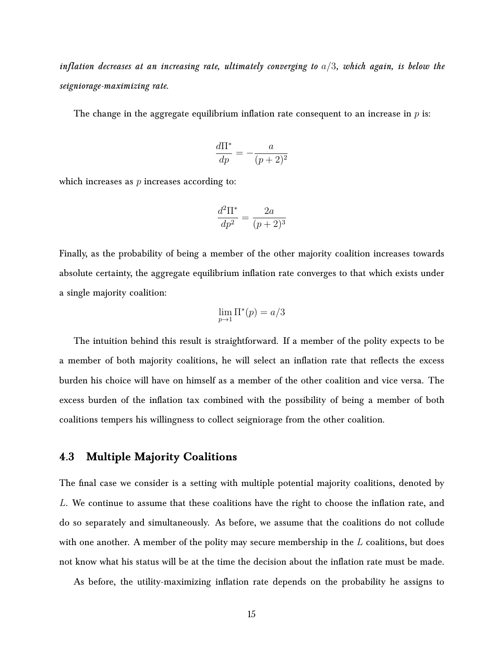*inflation decreases at an increasing rate, ultimately converging to* a/3*, which again, is below the seigniorage-maximizing rate.*

The change in the aggregate equilibrium inflation rate consequent to an increase in  $p$  is:

$$
\frac{d\Pi^*}{dp} = -\frac{a}{(p+2)^2}
$$

which increases as  $p$  increases according to:

$$
\frac{d^2\Pi^*}{dp^2} = \frac{2a}{(p+2)^3}
$$

Finally, as the probability of being a member of the other majority coalition increases towards absolute certainty, the aggregate equilibrium inflation rate converges to that which exists under a single majority coalition:

$$
\lim_{p \to 1} \Pi^*(p) = a/3
$$

The intuition behind this result is straightforward. If a member of the polity expects to be a member of both majority coalitions, he will select an inflation rate that reflects the excess burden his choice will have on himself as a member of the other coalition and vice versa. The excess burden of the inflation tax combined with the possibility of being a member of both coalitions tempers his willingness to collect seigniorage from the other coalition.

#### **4.3 Multiple Majority Coalitions**

The final case we consider is a setting with multiple potential majority coalitions, denoted by L. We continue to assume that these coalitions have the right to choose the inflation rate, and do so separately and simultaneously. As before, we assume that the coalitions do not collude with one another. A member of the polity may secure membership in the  $L$  coalitions, but does not know what his status will be at the time the decision about the inflation rate must be made.

As before, the utility-maximizing inflation rate depends on the probability he assigns to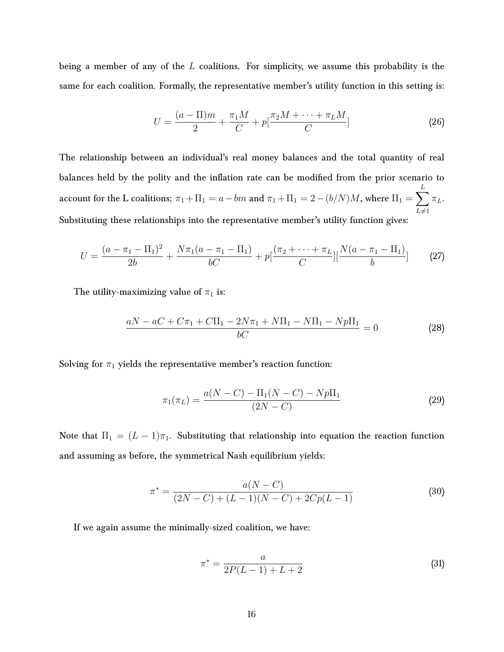being a member of any of the L coalitions. For simplicity, we assume this probability is the same for each coalition. Formally, the representative member's utility function in this setting is:

$$
U = \frac{(a - \Pi)m}{2} + \frac{\pi_1 M}{C} + p\left[\frac{\pi_2 M + \dots + \pi_L M}{C}\right]
$$
 (26)

The relationship between an individual's real money balances and the total quantity of real balances held by the polity and the inflation rate can be modified from the prior scenario to account for the L coalitions:  $\pi_1 + \Pi_1 = a-bm$  and  $\pi_1 + \Pi_1 = 2-(b/N)M,$  where  $\Pi_1 = \sum$ L  $L\neq1$  $\pi_L$ . Substituting these relationships into the representative member's utility function gives:

$$
U = \frac{(a - \pi_1 - \Pi_1)^2}{2b} + \frac{N\pi_1(a - \pi_1 - \Pi_1)}{bC} + p\left[\frac{(\pi_2 + \dots + \pi_L)}{C}\right] \left[\frac{N(a - \pi_1 - \Pi_1)}{b}\right] \tag{27}
$$

The utility-maximizing value of  $\pi_1$  is:

$$
\frac{aN - aC + C\pi_1 + C\Pi_1 - 2N\pi_1 + N\Pi_1 - N\Pi_1 - Np\Pi_1}{bC} = 0
$$
\n(28)

Solving for  $\pi_1$  yields the representative member's reaction function:

$$
\pi_1(\pi_L) = \frac{a(N - C) - \Pi_1(N - C) - Np\Pi_1}{(2N - C)}
$$
\n(29)

Note that  $\Pi_1 = (L-1)\pi_1$ . Substituting that relationship into equation the reaction function and assuming as before, the symmetrical Nash equilibrium yields:

$$
\pi^* = \frac{a(N - C)}{(2N - C) + (L - 1)(N - C) + 2Cp(L - 1)}
$$
\n(30)

If we again assume the minimally-sized coalition, we have:

$$
\pi^* = \frac{a}{2P(L-1) + L + 2} \tag{31}
$$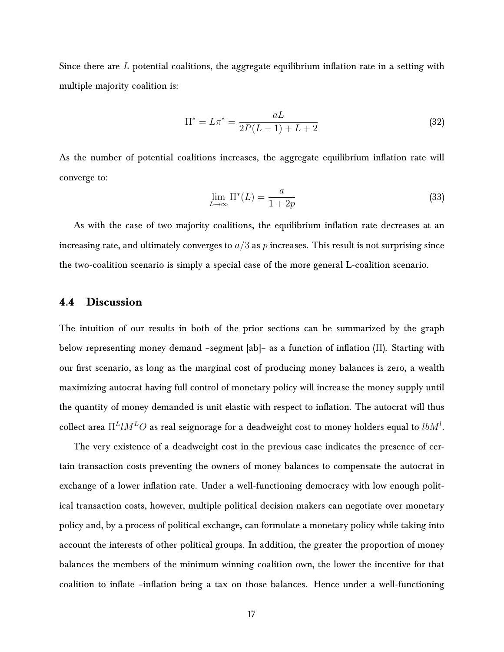Since there are  $L$  potential coalitions, the aggregate equilibrium inflation rate in a setting with multiple majority coalition is:

$$
\Pi^* = L\pi^* = \frac{aL}{2P(L-1) + L + 2}
$$
\n(32)

As the number of potential coalitions increases, the aggregate equilibrium inflation rate will converge to:

$$
\lim_{L \to \infty} \Pi^*(L) = \frac{a}{1 + 2p} \tag{33}
$$

As with the case of two majority coalitions, the equilibrium inflation rate decreases at an increasing rate, and ultimately converges to  $a/3$  as p increases. This result is not surprising since the two-coalition scenario is simply a special case of the more general L-coalition scenario.

#### **4.4 Discussion**

The intuition of our results in both of the prior sections can be summarized by the graph below representing money demand –segment [ab]– as a function of inflation (Π). Starting with our first scenario, as long as the marginal cost of producing money balances is zero, a wealth maximizing autocrat having full control of monetary policy will increase the money supply until the quantity of money demanded is unit elastic with respect to inflation. The autocrat will thus collect area  $\Pi^L l M^L O$  as real seignorage for a deadweight cost to money holders equal to  $lb M^l.$ 

The very existence of a deadweight cost in the previous case indicates the presence of certain transaction costs preventing the owners of money balances to compensate the autocrat in exchange of a lower inflation rate. Under a well-functioning democracy with low enough political transaction costs, however, multiple political decision makers can negotiate over monetary policy and, by a process of political exchange, can formulate a monetary policy while taking into account the interests of other political groups. In addition, the greater the proportion of money balances the members of the minimum winning coalition own, the lower the incentive for that coalition to inflate –inflation being a tax on those balances. Hence under a well-functioning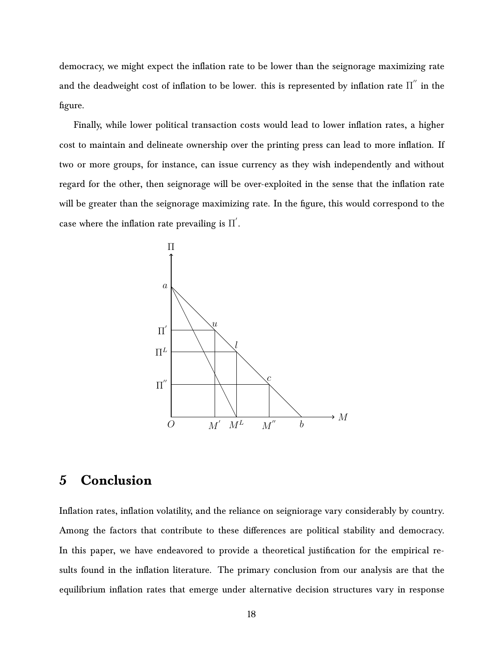democracy, we might expect the inflation rate to be lower than the seignorage maximizing rate and the deadweight cost of inflation to be lower. this is represented by inflation rate  $\Pi^{''}$  in the figure.

Finally, while lower political transaction costs would lead to lower inflation rates, a higher cost to maintain and delineate ownership over the printing press can lead to more inflation. If two or more groups, for instance, can issue currency as they wish independently and without regard for the other, then seignorage will be over-exploited in the sense that the inflation rate will be greater than the seignorage maximizing rate. In the figure, this would correspond to the case where the inflation rate prevailing is  $\Pi^{'}.$ 



### **5 Conclusion**

Inflation rates, inflation volatility, and the reliance on seigniorage vary considerably by country. Among the factors that contribute to these differences are political stability and democracy. In this paper, we have endeavored to provide a theoretical justification for the empirical results found in the inflation literature. The primary conclusion from our analysis are that the equilibrium inflation rates that emerge under alternative decision structures vary in response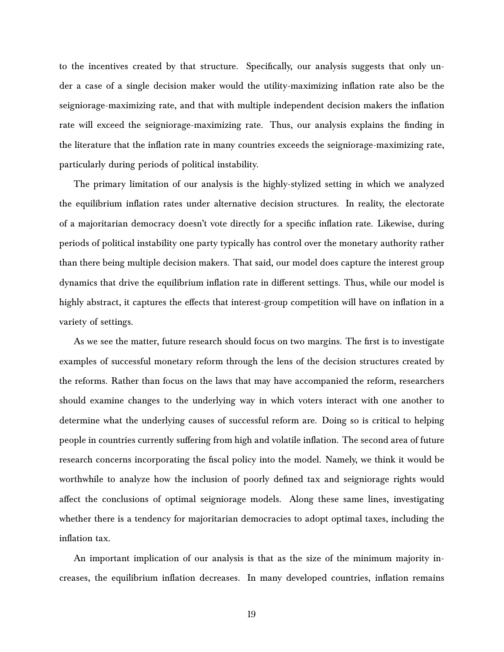to the incentives created by that structure. Specifically, our analysis suggests that only under a case of a single decision maker would the utility-maximizing inflation rate also be the seigniorage-maximizing rate, and that with multiple independent decision makers the inflation rate will exceed the seigniorage-maximizing rate. Thus, our analysis explains the finding in the literature that the inflation rate in many countries exceeds the seigniorage-maximizing rate, particularly during periods of political instability.

The primary limitation of our analysis is the highly-stylized setting in which we analyzed the equilibrium inflation rates under alternative decision structures. In reality, the electorate of a majoritarian democracy doesn't vote directly for a specific inflation rate. Likewise, during periods of political instability one party typically has control over the monetary authority rather than there being multiple decision makers. That said, our model does capture the interest group dynamics that drive the equilibrium inflation rate in different settings. Thus, while our model is highly abstract, it captures the effects that interest-group competition will have on inflation in a variety of settings.

As we see the matter, future research should focus on two margins. The first is to investigate examples of successful monetary reform through the lens of the decision structures created by the reforms. Rather than focus on the laws that may have accompanied the reform, researchers should examine changes to the underlying way in which voters interact with one another to determine what the underlying causes of successful reform are. Doing so is critical to helping people in countries currently suffering from high and volatile inflation. The second area of future research concerns incorporating the fiscal policy into the model. Namely, we think it would be worthwhile to analyze how the inclusion of poorly defined tax and seigniorage rights would affect the conclusions of optimal seigniorage models. Along these same lines, investigating whether there is a tendency for majoritarian democracies to adopt optimal taxes, including the inflation tax.

An important implication of our analysis is that as the size of the minimum majority increases, the equilibrium inflation decreases. In many developed countries, inflation remains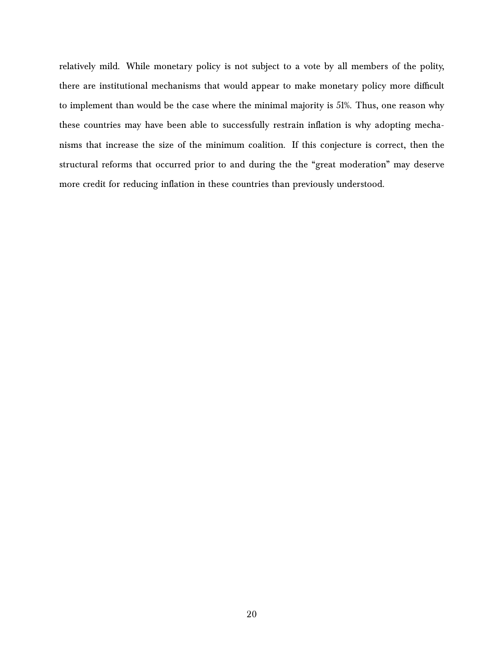relatively mild. While monetary policy is not subject to a vote by all members of the polity, there are institutional mechanisms that would appear to make monetary policy more difficult to implement than would be the case where the minimal majority is 51%. Thus, one reason why these countries may have been able to successfully restrain inflation is why adopting mechanisms that increase the size of the minimum coalition. If this conjecture is correct, then the structural reforms that occurred prior to and during the the "great moderation" may deserve more credit for reducing inflation in these countries than previously understood.